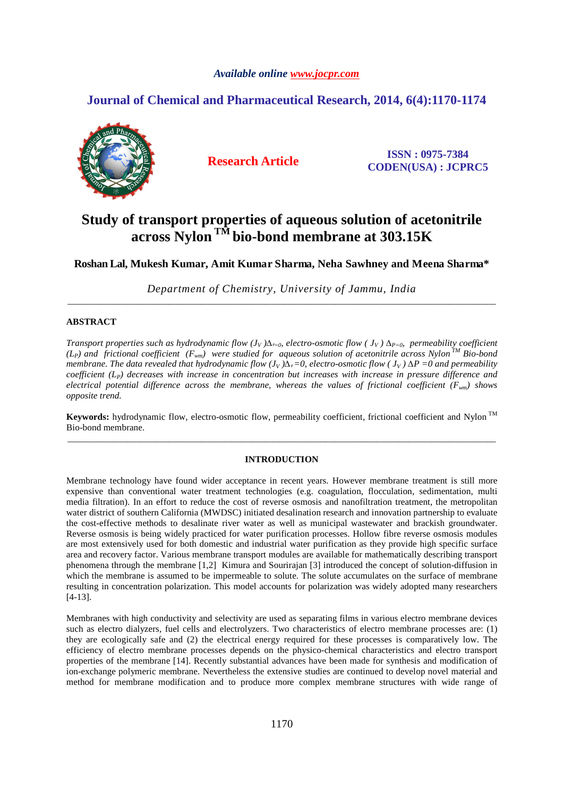## *Available online www.jocpr.com*

## **Journal of Chemical and Pharmaceutical Research, 2014, 6(4):1170-1174**



**Research Article ISSN : 0975-7384 CODEN(USA) : JCPRC5**

# **Study of transport properties of aqueous solution of acetonitrile across Nylon TM bio-bond membrane at 303.15K**

**Roshan Lal, Mukesh Kumar, Amit Kumar S harma, Neha Sawhney and Meena Sharma\*** 

*Department of Chemistry, University of Jammu, India* \_\_\_\_\_\_\_\_\_\_\_\_\_\_\_\_\_\_\_\_\_\_\_\_\_\_\_\_\_\_\_\_\_\_\_\_\_\_\_\_\_\_\_\_\_\_\_\_\_\_\_\_\_\_\_\_\_\_\_\_\_\_\_\_\_\_\_\_\_\_\_\_\_\_\_\_\_\_\_\_\_\_\_\_\_\_\_\_\_\_\_\_\_

## **ABSTRACT**

*Transport properties such as hydrodynamic flow*  $(J_V) \Delta_{t=0}$ *, electro-osmotic flow*  $(J_V) \Delta_{P=0}$ *, permeability coefficient*  $(L_P)$  and frictional coefficient  $(F_{wm})$  were studied for aqueous solution of acetonitrile across Nylon<sup>TM</sup> Bio-bond *membrane. The data revealed that hydrodynamic flow*  $(J_V) \Delta \phi = 0$ *, electro-osmotic flow*  $(J_V) \Delta P = 0$  *and permeability coefficient (LP) decreases with increase in concentration but increases with increase in pressure difference and electrical potential difference across the membrane, whereas the values of frictional coefficient (Fwm) shows opposite trend.* 

Keywords: hydrodynamic flow, electro-osmotic flow, permeability coefficient, frictional coefficient and Nylon<sup>TM</sup> Bio-bond membrane. \_\_\_\_\_\_\_\_\_\_\_\_\_\_\_\_\_\_\_\_\_\_\_\_\_\_\_\_\_\_\_\_\_\_\_\_\_\_\_\_\_\_\_\_\_\_\_\_\_\_\_\_\_\_\_\_\_\_\_\_\_\_\_\_\_\_\_\_\_\_\_\_\_\_\_\_\_\_\_\_\_\_\_\_\_\_\_\_\_\_\_\_\_

## **INTRODUCTION**

Membrane technology have found wider acceptance in recent years. However membrane treatment is still more expensive than conventional water treatment technologies (e.g. coagulation, flocculation, sedimentation, multi media filtration). In an effort to reduce the cost of reverse osmosis and nanofiltration treatment, the metropolitan water district of southern California (MWDSC) initiated desalination research and innovation partnership to evaluate the cost-effective methods to desalinate river water as well as municipal wastewater and brackish groundwater. Reverse osmosis is being widely practiced for water purification processes. Hollow fibre reverse osmosis modules are most extensively used for both domestic and industrial water purification as they provide high specific surface area and recovery factor. Various membrane transport modules are available for mathematically describing transport phenomena through the membrane [1,2] Kimura and Sourirajan [3] introduced the concept of solution-diffusion in which the membrane is assumed to be impermeable to solute. The solute accumulates on the surface of membrane resulting in concentration polarization. This model accounts for polarization was widely adopted many researchers [4-13].

Membranes with high conductivity and selectivity are used as separating films in various electro membrane devices such as electro dialyzers, fuel cells and electrolyzers. Two characteristics of electro membrane processes are: (1) they are ecologically safe and (2) the electrical energy required for these processes is comparatively low. The efficiency of electro membrane processes depends on the physico-chemical characteristics and electro transport properties of the membrane [14]. Recently substantial advances have been made for synthesis and modification of ion-exchange polymeric membrane. Nevertheless the extensive studies are continued to develop novel material and method for membrane modification and to produce more complex membrane structures with wide range of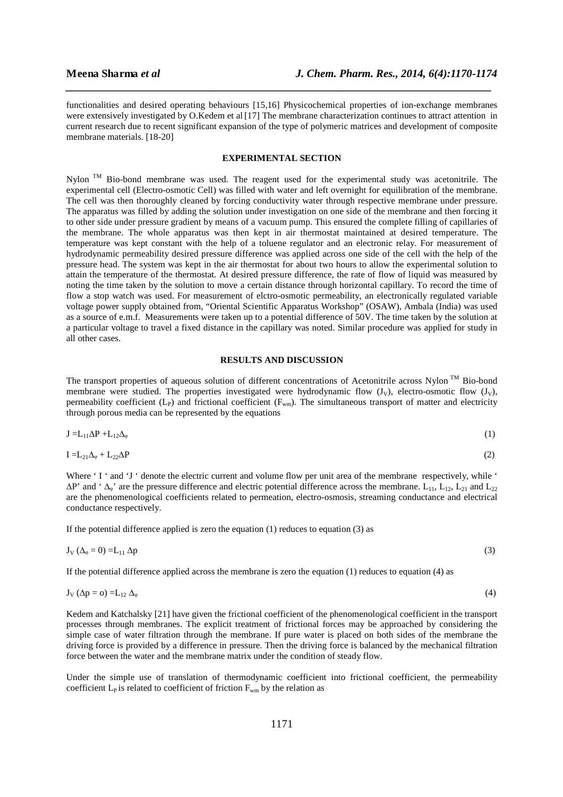functionalities and desired operating behaviours [15,16] Physicochemical properties of ion-exchange membranes were extensively investigated by O.Kedem et al [17] The membrane characterization continues to attract attention in current research due to recent significant expansion of the type of polymeric matrices and development of composite membrane materials. [18-20]

*\_\_\_\_\_\_\_\_\_\_\_\_\_\_\_\_\_\_\_\_\_\_\_\_\_\_\_\_\_\_\_\_\_\_\_\_\_\_\_\_\_\_\_\_\_\_\_\_\_\_\_\_\_\_\_\_\_\_\_\_\_\_\_\_\_\_\_\_\_\_\_\_\_\_\_\_\_*

### **EXPERIMENTAL SECTION**

Nylon TM Bio-bond membrane was used. The reagent used for the experimental study was acetonitrile. The experimental cell (Electro-osmotic Cell) was filled with water and left overnight for equilibration of the membrane. The cell was then thoroughly cleaned by forcing conductivity water through respective membrane under pressure. The apparatus was filled by adding the solution under investigation on one side of the membrane and then forcing it to other side under pressure gradient by means of a vacuum pump. This ensured the complete filling of capillaries of the membrane. The whole apparatus was then kept in air thermostat maintained at desired temperature. The temperature was kept constant with the help of a toluene regulator and an electronic relay. For measurement of hydrodynamic permeability desired pressure difference was applied across one side of the cell with the help of the pressure head. The system was kept in the air thermostat for about two hours to allow the experimental solution to attain the temperature of the thermostat. At desired pressure difference, the rate of flow of liquid was measured by noting the time taken by the solution to move a certain distance through horizontal capillary. To record the time of flow a stop watch was used. For measurement of elctro-osmotic permeability, an electronically regulated variable voltage power supply obtained from, "Oriental Scientific Apparatus Workshop" (OSAW), Ambala (India) was used as a source of e.m.f. Measurements were taken up to a potential difference of 50V. The time taken by the solution at a particular voltage to travel a fixed distance in the capillary was noted. Similar procedure was applied for study in all other cases.

## **RESULTS AND DISCUSSION**

The transport properties of aqueous solution of different concentrations of Acetonitrile across Nylon TM Bio-bond membrane were studied. The properties investigated were hydrodynamic flow  $(J_v)$ , electro-osmotic flow  $(J_v)$ , permeability coefficient  $(L_{P})$  and frictional coefficient  $(F_{wm})$ . The simultaneous transport of matter and electricity through porous media can be represented by the equations

$$
J = L_{11} \Delta P + L_{12} \Delta_{\varphi} \tag{1}
$$

$$
I = L_{21}\Delta_{\varphi} + L_{22}\Delta P \tag{2}
$$

Where 'I' and 'J' denote the electric current and volume flow per unit area of the membrane respectively, while '  $\Delta P'$  and ' $\Delta_{\phi}$ ' are the pressure difference and electric potential difference across the membrane. L<sub>11</sub>, L<sub>12</sub>, L<sub>21</sub> and L<sub>22</sub> are the phenomenological coefficients related to permeation, electro-osmosis, streaming conductance and electrical conductance respectively.

If the potential difference applied is zero the equation  $(1)$  reduces to equation  $(3)$  as

$$
J_V(\Delta_{\varphi}=0)=L_{11}\Delta p\tag{3}
$$

If the potential difference applied across the membrane is zero the equation (1) reduces to equation (4) as

$$
J_V(\Delta p = o) = L_{12} \Delta_{\varphi} \tag{4}
$$

Kedem and Katchalsky [21] have given the frictional coefficient of the phenomenological coefficient in the transport processes through membranes. The explicit treatment of frictional forces may be approached by considering the simple case of water filtration through the membrane. If pure water is placed on both sides of the membrane the driving force is provided by a difference in pressure. Then the driving force is balanced by the mechanical filtration force between the water and the membrane matrix under the condition of steady flow.

Under the simple use of translation of thermodynamic coefficient into frictional coefficient, the permeability coefficient  $L_P$  is related to coefficient of friction  $F_{wm}$  by the relation as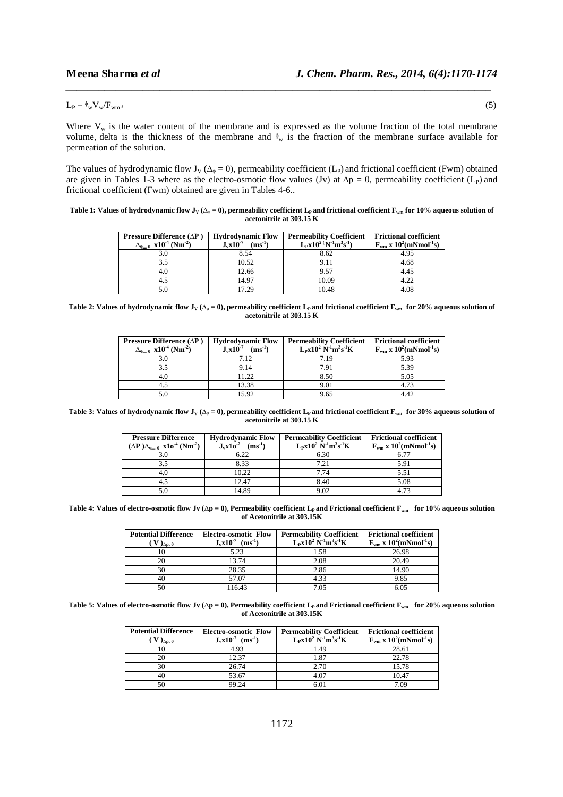$L_P = \frac{\phi_w}{W_W/F_{wm}}$ 

Where  $V_w$  is the water content of the membrane and is expressed as the volume fraction of the total membrane volume, delta is the thickness of the membrane and  $\phi_w$  is the fraction of the membrane surface available for permeation of the solution.

*\_\_\_\_\_\_\_\_\_\_\_\_\_\_\_\_\_\_\_\_\_\_\_\_\_\_\_\_\_\_\_\_\_\_\_\_\_\_\_\_\_\_\_\_\_\_\_\_\_\_\_\_\_\_\_\_\_\_\_\_\_\_\_\_\_\_\_\_\_\_\_\_\_\_\_\_\_*

The values of hydrodynamic flow J<sub>V</sub> ( $\Delta_{\varphi} = 0$ ), permeability coefficient (L<sub>P</sub>) and frictional coefficient (Fwm) obtained are given in Tables 1-3 where as the electro-osmotic flow values (Jv) at  $\Delta p = 0$ , permeability coefficient (L<sub>P</sub>) and frictional coefficient (Fwm) obtained are given in Tables 4-6..

**Table 1: Values of hydrodynamic flow J<sub>V</sub>** ( $\Delta_{\varphi} = 0$ ), permeability coefficient L<sub>P</sub> and frictional coefficient F<sub>*wm*</sub> for 10% aqueous solution of **acetonitrile at 303.15 K** 

| Pressure Difference $(\Delta P)$                        | <b>Hydrodynamic Flow</b>     | <b>Permeability Coefficient</b> | <b>Frictional coefficient</b>                      |
|---------------------------------------------------------|------------------------------|---------------------------------|----------------------------------------------------|
| $\Delta_{\phi=0}$ x10 <sup>-4</sup> (Nm <sup>-2</sup> ) | $J_vx10^{-7}$<br>$(ms^{-1})$ | $L_Px10^{2} (N^{-1}m^3s^{-1})$  | $F_{wm}$ x 10 <sup>2</sup> (mNmol <sup>-1</sup> s) |
|                                                         | 8.54                         | 8.62                            | 4.95                                               |
| 3.5                                                     | 10.52                        | 9.11                            | 4.68                                               |
| 4.0                                                     | 12.66                        | 9.57                            | 4.45                                               |
|                                                         | 14.97                        | 10.09                           | 4.22                                               |
|                                                         | 17.29                        | 10.48                           | 4.08                                               |

**Table 2: Values of hydrodynamic flow**  $J_v(\Delta_{\varphi} = 0)$ **, permeability coefficient**  $L_p$  **and frictional coefficient**  $F_{wm}$  **for 20% aqueous solution of acetonitrile at 303.15 K** 

| <b>Pressure Difference</b> ( $\Delta$ <b>P</b> )<br>$\Delta_{\phi} = 0$ x10 <sup>-4</sup> (Nm <sup>-2</sup> ) | <b>Hydrodynamic Flow</b><br>$J_vx10^{-7}$<br>$(ms^{-1})$ | <b>Permeability Coefficient</b><br>$L_Px10^2 N^{-1}m^3s^{-1}K$ | <b>Frictional coefficient</b><br>$F_{wm}$ x 10 <sup>2</sup> (mNmol <sup>-1</sup> s) |
|---------------------------------------------------------------------------------------------------------------|----------------------------------------------------------|----------------------------------------------------------------|-------------------------------------------------------------------------------------|
| 3.0                                                                                                           | 7.12                                                     | 7.19                                                           | 5.93                                                                                |
| 3.5                                                                                                           | 9.14                                                     | 7.91                                                           | 5.39                                                                                |
| 4.0                                                                                                           | 11.22                                                    | 8.50                                                           | 5.05                                                                                |
|                                                                                                               | 13.38                                                    | 9.01                                                           | 4.73                                                                                |
|                                                                                                               | 15.92                                                    | 9.65                                                           | 4 A V                                                                               |

**Table 3: Values of hydrodynamic flow J<sub>V</sub>** ( $\Delta_{\varphi} = 0$ ), permeability coefficient L<sub>P</sub> and frictional coefficient F<sub>wm</sub> for 30% aqueous solution of **acetonitrile at 303.15 K** 

| <b>Pressure Difference</b><br>$(\Delta P) \Delta_{\alpha=0}$ $x10^{-4}$ (Nm <sup>-2</sup> ) | <b>Hydrodynamic Flow</b><br>$(ms-1)$<br>$J_v x 10^{-7}$ | <b>Permeability Coefficient</b><br>$L_Px10^2 N^{-1}m^3s^{-1}K$ | <b>Frictional coefficient</b><br>$F_{wm}$ x 10 <sup>2</sup> (mNmol <sup>-1</sup> s) |
|---------------------------------------------------------------------------------------------|---------------------------------------------------------|----------------------------------------------------------------|-------------------------------------------------------------------------------------|
|                                                                                             | 6.22                                                    | 6.30                                                           | 6 77                                                                                |
| 3.5                                                                                         | 8.33                                                    | 7.21                                                           | 5.91                                                                                |
| 4.0                                                                                         | 10.22                                                   | 7.74                                                           | 5.51                                                                                |
|                                                                                             | 12.47                                                   | 8.40                                                           | 5.08                                                                                |
|                                                                                             | 14.89                                                   | 9.02                                                           | 4.73                                                                                |

Table 4: Values of electro-osmotic flow Jv ( $\Delta p = 0$ ), Permeability coefficient L<sub>P</sub> and Frictional coefficient  $F_{wm}$  for 10% aqueous solution **of Acetonitrile at 303.15K** 

| <b>Potential Difference</b>             | <b>Electro-osmotic Flow</b>    | <b>Permeability Coefficient</b> | <b>Frictional coefficient</b>                      |
|-----------------------------------------|--------------------------------|---------------------------------|----------------------------------------------------|
| $V$ ) <sub><math>\Delta</math>p</sub> o | $J_v x 10^{-7}$<br>$(ms^{-1})$ | $L_Px10^2 N^1m^3s^1K$           | $F_{wm}$ x 10 <sup>2</sup> (mNmol <sup>-1</sup> s) |
|                                         | 5.23                           | 1.58                            | 26.98                                              |
| 20                                      | 13.74                          | 2.08                            | 20.49                                              |
| 30                                      | 28.35                          | 2.86                            | 14.90                                              |
| 40                                      | 57.07                          | 4.33                            | 9.85                                               |
| 50                                      | 116.43                         | 7.05                            | 6.05                                               |

Table 5: Values of electro-osmotic flow Jv ( $\Delta p = 0$ ), Permeability coefficient L<sub>P</sub> and Frictional coefficient F<sub>*wm*</sub> for 20% aqueous solution **of Acetonitrile at 303.15K**

| <b>Potential Difference</b><br>$)_{\Delta p_2,0}$ | <b>Electro-osmotic Flow</b><br>$J_x x 10^{-7}$<br>$(ms^{-1})$ | <b>Permeability Coefficient</b><br>$L_P x 10^2 N^1 m^3 s^1 K$ | <b>Frictional coefficient</b><br>$F_{wm}$ x 10 <sup>2</sup> (mNmol <sup>-1</sup> s) |
|---------------------------------------------------|---------------------------------------------------------------|---------------------------------------------------------------|-------------------------------------------------------------------------------------|
|                                                   | 4.93                                                          | l.49                                                          | 28.61                                                                               |
|                                                   | 12.37                                                         | 1.87                                                          | 22.78                                                                               |
| 30                                                | 26.74                                                         | 2.70                                                          | 15.78                                                                               |
|                                                   | 53.67                                                         | 4.07                                                          | 10.47                                                                               |
|                                                   | 99.24                                                         |                                                               | 7.09                                                                                |

 $(5)$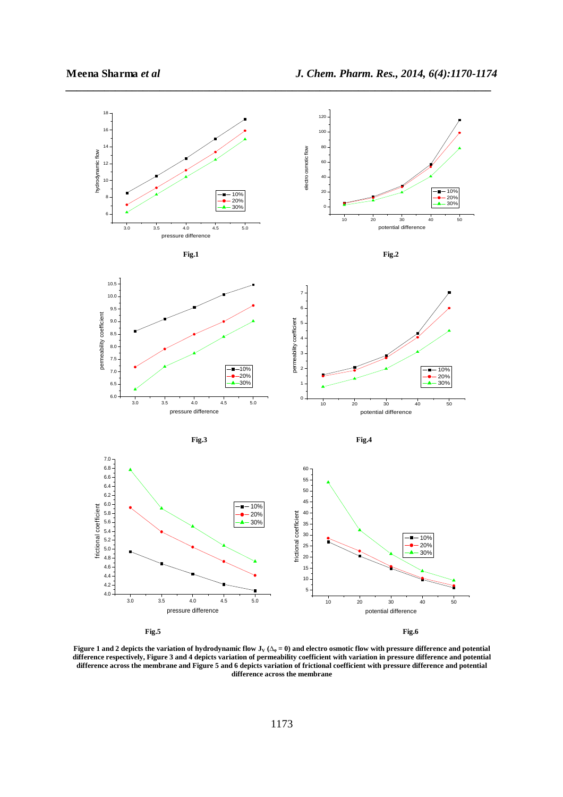

**Figure 1 and 2 depicts the variation of hydrodynamic flow JV (∆ᵩ = 0) and electro osmotic flow with pressure difference and potential difference respectively, Figure 3 and 4 depicts variation of permeability coefficient with variation in pressure difference and potential difference across the membrane and Figure 5 and 6 depicts variation of frictional coefficient with pressure difference and potential difference across the membrane**